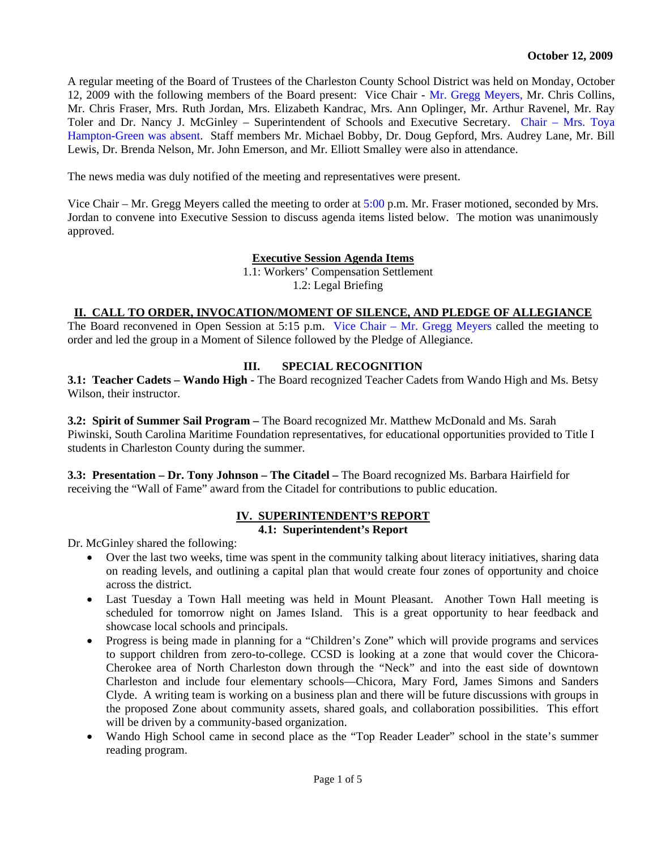A regular meeting of the Board of Trustees of the Charleston County School District was held on Monday, October 12, 2009 with the following members of the Board present: Vice Chair - Mr. Gregg Meyers, Mr. Chris Collins, Mr. Chris Fraser, Mrs. Ruth Jordan, Mrs. Elizabeth Kandrac, Mrs. Ann Oplinger, Mr. Arthur Ravenel, Mr. Ray Toler and Dr. Nancy J. McGinley – Superintendent of Schools and Executive Secretary. Chair – Mrs. Toya Hampton-Green was absent. Staff members Mr. Michael Bobby, Dr. Doug Gepford, Mrs. Audrey Lane, Mr. Bill Lewis, Dr. Brenda Nelson, Mr. John Emerson, and Mr. Elliott Smalley were also in attendance.

The news media was duly notified of the meeting and representatives were present.

Vice Chair – Mr. Gregg Meyers called the meeting to order at  $5:00$  p.m. Mr. Fraser motioned, seconded by Mrs. Jordan to convene into Executive Session to discuss agenda items listed below. The motion was unanimously approved.

#### **Executive Session Agenda Items**

1.1: Workers' Compensation Settlement 1.2: Legal Briefing

#### **II. CALL TO ORDER, INVOCATION/MOMENT OF SILENCE, AND PLEDGE OF ALLEGIANCE**

The Board reconvened in Open Session at 5:15 p.m. Vice Chair – Mr. Gregg Meyers called the meeting to order and led the group in a Moment of Silence followed by the Pledge of Allegiance.

## **III. SPECIAL RECOGNITION**

**3.1: Teacher Cadets – Wando High -** The Board recognized Teacher Cadets from Wando High and Ms. Betsy Wilson, their instructor.

**3.2: Spirit of Summer Sail Program –** The Board recognized Mr. Matthew McDonald and Ms. Sarah Piwinski, South Carolina Maritime Foundation representatives, for educational opportunities provided to Title I students in Charleston County during the summer.

**3.3: Presentation – Dr. Tony Johnson – The Citadel –** The Board recognized Ms. Barbara Hairfield for receiving the "Wall of Fame" award from the Citadel for contributions to public education.

# **IV. SUPERINTENDENT'S REPORT**

#### **4.1: Superintendent's Report**

Dr. McGinley shared the following:

- Over the last two weeks, time was spent in the community talking about literacy initiatives, sharing data on reading levels, and outlining a capital plan that would create four zones of opportunity and choice across the district.
- Last Tuesday a Town Hall meeting was held in Mount Pleasant. Another Town Hall meeting is scheduled for tomorrow night on James Island. This is a great opportunity to hear feedback and showcase local schools and principals.
- Progress is being made in planning for a "Children's Zone" which will provide programs and services to support children from zero-to-college. CCSD is looking at a zone that would cover the Chicora-Cherokee area of North Charleston down through the "Neck" and into the east side of downtown Charleston and include four elementary schools—Chicora, Mary Ford, James Simons and Sanders Clyde. A writing team is working on a business plan and there will be future discussions with groups in the proposed Zone about community assets, shared goals, and collaboration possibilities. This effort will be driven by a community-based organization.
- Wando High School came in second place as the "Top Reader Leader" school in the state's summer reading program.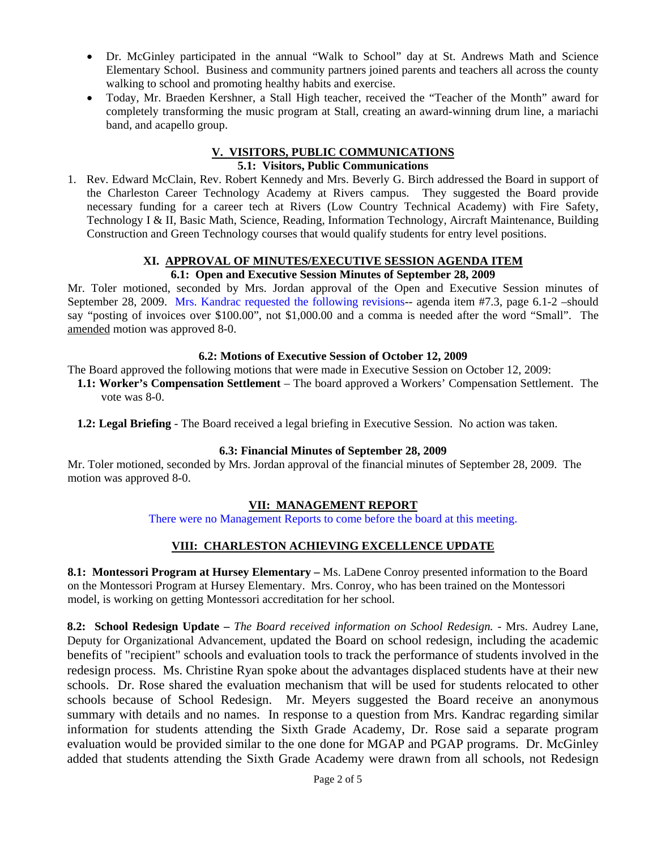- Dr. McGinley participated in the annual "Walk to School" day at St. Andrews Math and Science Elementary School. Business and community partners joined parents and teachers all across the county walking to school and promoting healthy habits and exercise.
- Today, Mr. Braeden Kershner, a Stall High teacher, received the "Teacher of the Month" award for completely transforming the music program at Stall, creating an award-winning drum line, a mariachi band, and acapello group.

#### **V. VISITORS, PUBLIC COMMUNICATIONS 5.1: Visitors, Public Communications**

1. Rev. Edward McClain, Rev. Robert Kennedy and Mrs. Beverly G. Birch addressed the Board in support of the Charleston Career Technology Academy at Rivers campus. They suggested the Board provide necessary funding for a career tech at Rivers (Low Country Technical Academy) with Fire Safety, Technology I & II, Basic Math, Science, Reading, Information Technology, Aircraft Maintenance, Building Construction and Green Technology courses that would qualify students for entry level positions.

# **XI. APPROVAL OF MINUTES/EXECUTIVE SESSION AGENDA ITEM**

# **6.1: Open and Executive Session Minutes of September 28, 2009**

Mr. Toler motioned, seconded by Mrs. Jordan approval of the Open and Executive Session minutes of September 28, 2009. Mrs. Kandrac requested the following revisions-- agenda item #7.3, page 6.1-2 –should say "posting of invoices over \$100.00", not \$1,000.00 and a comma is needed after the word "Small". The amended motion was approved 8-0.

### **6.2: Motions of Executive Session of October 12, 2009**

The Board approved the following motions that were made in Executive Session on October 12, 2009: **1.1: Worker's Compensation Settlement** – The board approved a Workers' Compensation Settlement. The

**1.2: Legal Briefing** - The Board received a legal briefing in Executive Session. No action was taken.

vote was 8-0.

## **6.3: Financial Minutes of September 28, 2009**

Mr. Toler motioned, seconded by Mrs. Jordan approval of the financial minutes of September 28, 2009. The motion was approved 8-0.

# **VII: MANAGEMENT REPORT**

There were no Management Reports to come before the board at this meeting.

# **VIII: CHARLESTON ACHIEVING EXCELLENCE UPDATE**

**8.1: Montessori Program at Hursey Elementary –** Ms. LaDene Conroy presented information to the Board on the Montessori Program at Hursey Elementary. Mrs. Conroy, who has been trained on the Montessori model, is working on getting Montessori accreditation for her school.

**8.2: School Redesign Update –** *The Board received information on School Redesign.* - Mrs. Audrey Lane, Deputy for Organizational Advancement, updated the Board on school redesign, including the academic benefits of "recipient" schools and evaluation tools to track the performance of students involved in the redesign process. Ms. Christine Ryan spoke about the advantages displaced students have at their new schools. Dr. Rose shared the evaluation mechanism that will be used for students relocated to other schools because of School Redesign. Mr. Meyers suggested the Board receive an anonymous summary with details and no names. In response to a question from Mrs. Kandrac regarding similar information for students attending the Sixth Grade Academy, Dr. Rose said a separate program evaluation would be provided similar to the one done for MGAP and PGAP programs. Dr. McGinley added that students attending the Sixth Grade Academy were drawn from all schools, not Redesign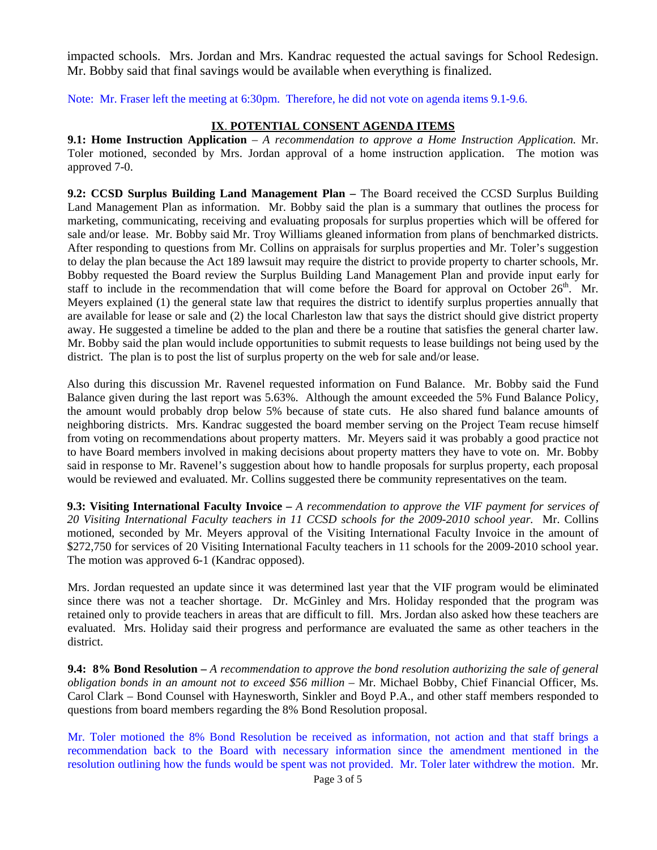impacted schools. Mrs. Jordan and Mrs. Kandrac requested the actual savings for School Redesign. Mr. Bobby said that final savings would be available when everything is finalized.

Note: Mr. Fraser left the meeting at 6:30pm. Therefore, he did not vote on agenda items 9.1-9.6.

## **IX**. **POTENTIAL CONSENT AGENDA ITEMS**

**9.1: Home Instruction Application** – *A recommendation to approve a Home Instruction Application.* Mr. Toler motioned, seconded by Mrs. Jordan approval of a home instruction application. The motion was approved 7-0.

**9.2: CCSD Surplus Building Land Management Plan - The Board received the CCSD Surplus Building** Land Management Plan as information. Mr. Bobby said the plan is a summary that outlines the process for marketing, communicating, receiving and evaluating proposals for surplus properties which will be offered for sale and/or lease. Mr. Bobby said Mr. Troy Williams gleaned information from plans of benchmarked districts. After responding to questions from Mr. Collins on appraisals for surplus properties and Mr. Toler's suggestion to delay the plan because the Act 189 lawsuit may require the district to provide property to charter schools, Mr. Bobby requested the Board review the Surplus Building Land Management Plan and provide input early for staff to include in the recommendation that will come before the Board for approval on October  $26<sup>th</sup>$ . Mr. Meyers explained (1) the general state law that requires the district to identify surplus properties annually that are available for lease or sale and (2) the local Charleston law that says the district should give district property away. He suggested a timeline be added to the plan and there be a routine that satisfies the general charter law. Mr. Bobby said the plan would include opportunities to submit requests to lease buildings not being used by the district. The plan is to post the list of surplus property on the web for sale and/or lease.

Also during this discussion Mr. Ravenel requested information on Fund Balance. Mr. Bobby said the Fund Balance given during the last report was 5.63%. Although the amount exceeded the 5% Fund Balance Policy, the amount would probably drop below 5% because of state cuts. He also shared fund balance amounts of neighboring districts. Mrs. Kandrac suggested the board member serving on the Project Team recuse himself from voting on recommendations about property matters. Mr. Meyers said it was probably a good practice not to have Board members involved in making decisions about property matters they have to vote on. Mr. Bobby said in response to Mr. Ravenel's suggestion about how to handle proposals for surplus property, each proposal would be reviewed and evaluated. Mr. Collins suggested there be community representatives on the team.

**9.3: Visiting International Faculty Invoice –** *A recommendation to approve the VIF payment for services of 20 Visiting International Faculty teachers in 11 CCSD schools for the 2009-2010 school year.* Mr. Collins motioned, seconded by Mr. Meyers approval of the Visiting International Faculty Invoice in the amount of \$272,750 for services of 20 Visiting International Faculty teachers in 11 schools for the 2009-2010 school year. The motion was approved 6-1 (Kandrac opposed).

Mrs. Jordan requested an update since it was determined last year that the VIF program would be eliminated since there was not a teacher shortage. Dr. McGinley and Mrs. Holiday responded that the program was retained only to provide teachers in areas that are difficult to fill. Mrs. Jordan also asked how these teachers are evaluated. Mrs. Holiday said their progress and performance are evaluated the same as other teachers in the district.

**9.4: 8% Bond Resolution –** *A recommendation to approve the bond resolution authorizing the sale of general obligation bonds in an amount not to exceed \$56 million* – Mr. Michael Bobby, Chief Financial Officer, Ms. Carol Clark – Bond Counsel with Haynesworth, Sinkler and Boyd P.A., and other staff members responded to questions from board members regarding the 8% Bond Resolution proposal.

Mr. Toler motioned the 8% Bond Resolution be received as information, not action and that staff brings a recommendation back to the Board with necessary information since the amendment mentioned in the resolution outlining how the funds would be spent was not provided. Mr. Toler later withdrew the motion. Mr.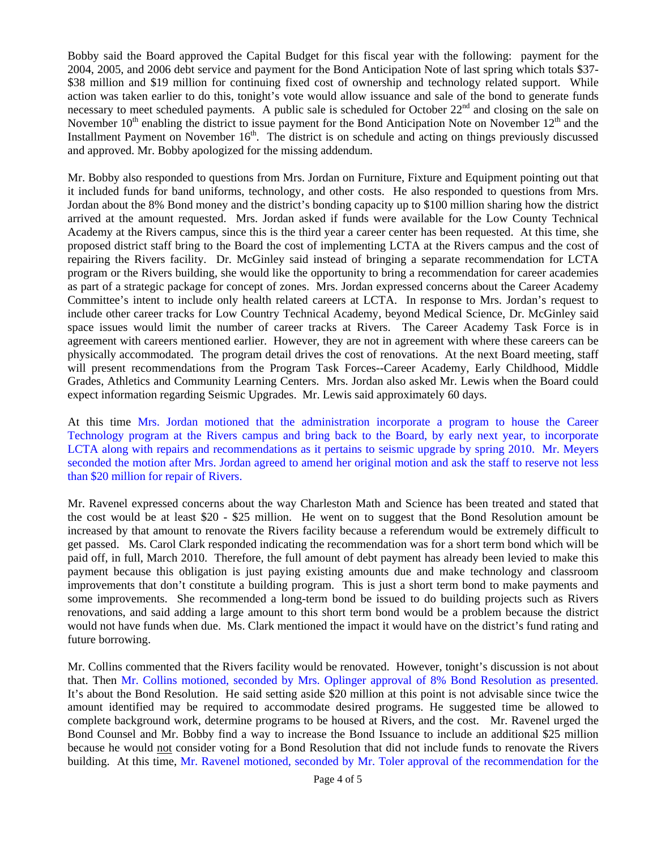Bobby said the Board approved the Capital Budget for this fiscal year with the following: payment for the 2004, 2005, and 2006 debt service and payment for the Bond Anticipation Note of last spring which totals \$37- \$38 million and \$19 million for continuing fixed cost of ownership and technology related support. While action was taken earlier to do this, tonight's vote would allow issuance and sale of the bond to generate funds necessary to meet scheduled payments. A public sale is scheduled for October 22<sup>nd</sup> and closing on the sale on November  $10^{th}$  enabling the district to issue payment for the Bond Anticipation Note on November  $12^{th}$  and the Installment Payment on November 16<sup>th</sup>. The district is on schedule and acting on things previously discussed and approved. Mr. Bobby apologized for the missing addendum.

Mr. Bobby also responded to questions from Mrs. Jordan on Furniture, Fixture and Equipment pointing out that it included funds for band uniforms, technology, and other costs. He also responded to questions from Mrs. Jordan about the 8% Bond money and the district's bonding capacity up to \$100 million sharing how the district arrived at the amount requested. Mrs. Jordan asked if funds were available for the Low County Technical Academy at the Rivers campus, since this is the third year a career center has been requested. At this time, she proposed district staff bring to the Board the cost of implementing LCTA at the Rivers campus and the cost of repairing the Rivers facility. Dr. McGinley said instead of bringing a separate recommendation for LCTA program or the Rivers building, she would like the opportunity to bring a recommendation for career academies as part of a strategic package for concept of zones. Mrs. Jordan expressed concerns about the Career Academy Committee's intent to include only health related careers at LCTA. In response to Mrs. Jordan's request to include other career tracks for Low Country Technical Academy, beyond Medical Science, Dr. McGinley said space issues would limit the number of career tracks at Rivers. The Career Academy Task Force is in agreement with careers mentioned earlier. However, they are not in agreement with where these careers can be physically accommodated. The program detail drives the cost of renovations. At the next Board meeting, staff will present recommendations from the Program Task Forces--Career Academy, Early Childhood, Middle Grades, Athletics and Community Learning Centers. Mrs. Jordan also asked Mr. Lewis when the Board could expect information regarding Seismic Upgrades. Mr. Lewis said approximately 60 days.

At this time Mrs. Jordan motioned that the administration incorporate a program to house the Career Technology program at the Rivers campus and bring back to the Board, by early next year, to incorporate LCTA along with repairs and recommendations as it pertains to seismic upgrade by spring 2010. Mr. Meyers seconded the motion after Mrs. Jordan agreed to amend her original motion and ask the staff to reserve not less than \$20 million for repair of Rivers.

Mr. Ravenel expressed concerns about the way Charleston Math and Science has been treated and stated that the cost would be at least \$20 - \$25 million. He went on to suggest that the Bond Resolution amount be increased by that amount to renovate the Rivers facility because a referendum would be extremely difficult to get passed. Ms. Carol Clark responded indicating the recommendation was for a short term bond which will be paid off, in full, March 2010. Therefore, the full amount of debt payment has already been levied to make this payment because this obligation is just paying existing amounts due and make technology and classroom improvements that don't constitute a building program. This is just a short term bond to make payments and some improvements. She recommended a long-term bond be issued to do building projects such as Rivers renovations, and said adding a large amount to this short term bond would be a problem because the district would not have funds when due. Ms. Clark mentioned the impact it would have on the district's fund rating and future borrowing.

Mr. Collins commented that the Rivers facility would be renovated. However, tonight's discussion is not about that. Then Mr. Collins motioned, seconded by Mrs. Oplinger approval of 8% Bond Resolution as presented. It's about the Bond Resolution. He said setting aside \$20 million at this point is not advisable since twice the amount identified may be required to accommodate desired programs. He suggested time be allowed to complete background work, determine programs to be housed at Rivers, and the cost. Mr. Ravenel urged the Bond Counsel and Mr. Bobby find a way to increase the Bond Issuance to include an additional \$25 million because he would not consider voting for a Bond Resolution that did not include funds to renovate the Rivers building. At this time, Mr. Ravenel motioned, seconded by Mr. Toler approval of the recommendation for the